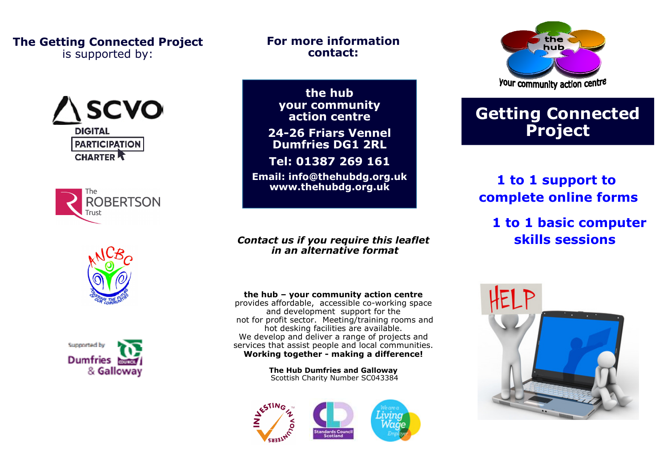#### The Getting Connected Project is supported by:









#### For more information contact:

the hub your community action centre

24-26 Friars Vennel Dumfries DG1 2RL

Tel: 01387 269 161

Email: info@thehubdg.org.uk www.thehubdg.org.uk

#### Contact us if you require this leaflet in an alternative format

#### the hub – your community action centre

 provides affordable, accessible co-working space and development support for the not for profit sector. Meeting/training rooms andhot desking facilities are available. We develop and deliver a range of projects and services that assist people and local communities. Working together - making a difference!

> The Hub Dumfries and Galloway Scottish Charity Number SC043384





# Getting Connected Project

## 1 to 1 support to complete online forms

 1 to 1 basic computer skills sessions